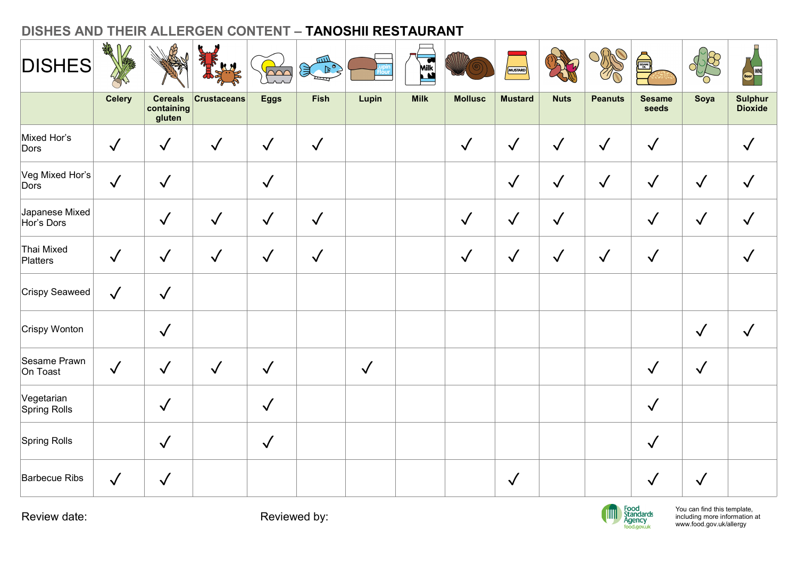| <b>DISHES</b>              | 我儿            |                                                |                    | $\sim$       | للللآ<br>頁<br>$\begin{picture}(120,10) \put(0,0){\line(1,0){10}} \put(15,0){\line(1,0){10}} \put(15,0){\line(1,0){10}} \put(15,0){\line(1,0){10}} \put(15,0){\line(1,0){10}} \put(15,0){\line(1,0){10}} \put(15,0){\line(1,0){10}} \put(15,0){\line(1,0){10}} \put(15,0){\line(1,0){10}} \put(15,0){\line(1,0){10}} \put(15,0){\line(1,0){10}} \put(15,0){\line($<br>$\equiv$ |              | Milk        |                | MUSTARD        |              | R              | <b>THE SEA</b>         | <b>R</b><br>'n | Beer<br>Beer              |
|----------------------------|---------------|------------------------------------------------|--------------------|--------------|-------------------------------------------------------------------------------------------------------------------------------------------------------------------------------------------------------------------------------------------------------------------------------------------------------------------------------------------------------------------------------|--------------|-------------|----------------|----------------|--------------|----------------|------------------------|----------------|---------------------------|
|                            | <b>Celery</b> | <b>Cereals</b><br>$ $ containing $ $<br>gluten | <b>Crustaceans</b> | <b>Eggs</b>  | Fish                                                                                                                                                                                                                                                                                                                                                                          | Lupin        | <b>Milk</b> | <b>Mollusc</b> | <b>Mustard</b> | <b>Nuts</b>  | <b>Peanuts</b> | <b>Sesame</b><br>seeds | Soya           | Sulphur<br><b>Dioxide</b> |
| Mixed Hor's<br>Dors        | $\sqrt{ }$    | $\checkmark$                                   | $\sqrt{2}$         | $\checkmark$ | $\checkmark$                                                                                                                                                                                                                                                                                                                                                                  |              |             | $\checkmark$   | $\checkmark$   | $\checkmark$ | $\checkmark$   | $\checkmark$           |                | $\checkmark$              |
| Veg Mixed Hor's            | $\sqrt{ }$    | $\checkmark$                                   |                    | $\checkmark$ |                                                                                                                                                                                                                                                                                                                                                                               |              |             |                | $\sqrt{}$      | $\checkmark$ | $\sqrt{}$      | $\sqrt{}$              | $\checkmark$   | $\checkmark$              |
| Japanese Mixed             |               | $\checkmark$                                   | $\sqrt{}$          | $\checkmark$ | $\sqrt{}$                                                                                                                                                                                                                                                                                                                                                                     |              |             | $\checkmark$   | $\checkmark$   | $\checkmark$ |                | $\checkmark$           | $\checkmark$   | $\checkmark$              |
| Thai Mixed<br>Platters     | $\sqrt{2}$    | $\checkmark$                                   | $\sqrt{2}$         | $\checkmark$ | $\checkmark$                                                                                                                                                                                                                                                                                                                                                                  |              |             | $\checkmark$   | $\checkmark$   | $\sqrt{ }$   | $\checkmark$   | $\checkmark$           |                | $\sqrt{}$                 |
| Crispy Seaweed             | $\checkmark$  | $\checkmark$                                   |                    |              |                                                                                                                                                                                                                                                                                                                                                                               |              |             |                |                |              |                |                        |                |                           |
| Crispy Wonton              |               | $\sqrt$                                        |                    |              |                                                                                                                                                                                                                                                                                                                                                                               |              |             |                |                |              |                |                        | $\checkmark$   | $\checkmark$              |
| Sesame Prawn<br>On Toast   | $\sqrt{ }$    | $\checkmark$                                   | $\checkmark$       | $\checkmark$ |                                                                                                                                                                                                                                                                                                                                                                               | $\checkmark$ |             |                |                |              |                | $\sqrt{2}$             | $\checkmark$   |                           |
| Vegetarian<br>Spring Rolls |               | $\sqrt{2}$                                     |                    | $\checkmark$ |                                                                                                                                                                                                                                                                                                                                                                               |              |             |                |                |              |                | $\sqrt{ }$             |                |                           |
| Spring Rolls               |               | $\sqrt{ }$                                     |                    | $\sqrt{ }$   |                                                                                                                                                                                                                                                                                                                                                                               |              |             |                |                |              |                | $\sqrt{2}$             |                |                           |
| Barbecue Ribs              | $\checkmark$  | $\checkmark$                                   |                    |              |                                                                                                                                                                                                                                                                                                                                                                               |              |             |                | $\sqrt{ }$     |              |                | $\sqrt{ }$             | $\checkmark$   |                           |

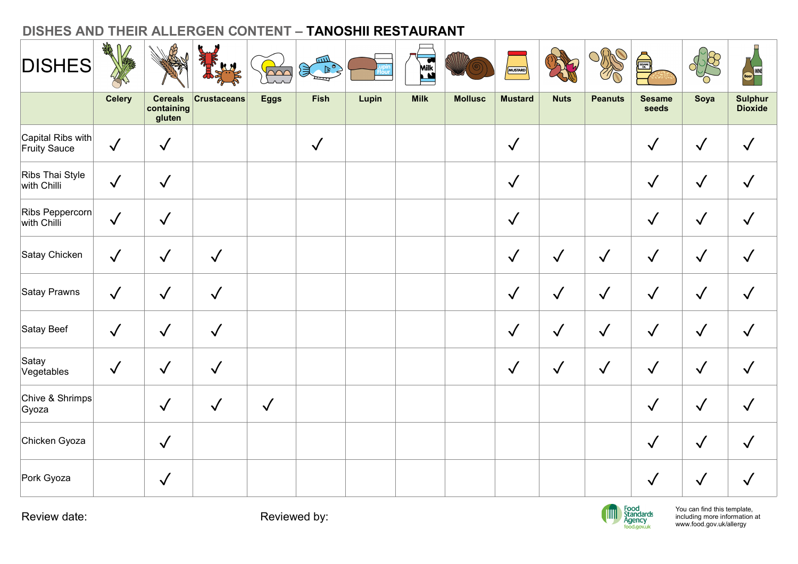|                                | $\frac{1}{2}$<br>$\sqrt{2}$ |                                        |                    |                                        |                                                                                   | DISHES AND THEIR ALLERGEN CONTENT - TANOSHII RESTAURANT |             |                |                |              |                |                                            |                                                                                         |                                  |
|--------------------------------|-----------------------------|----------------------------------------|--------------------|----------------------------------------|-----------------------------------------------------------------------------------|---------------------------------------------------------|-------------|----------------|----------------|--------------|----------------|--------------------------------------------|-----------------------------------------------------------------------------------------|----------------------------------|
| <b>DISHES</b>                  |                             |                                        |                    | $\overline{\triangle\curvearrowright}$ | للنتكر<br>$\left( \begin{matrix} 1 & 0 \\ 0 & 1 \end{matrix} \right)$<br>$\equiv$ |                                                         | Milk        |                | MUSTARD        |              | R              | SESAME                                     | 858<br>'n                                                                               | Beer                             |
|                                | <b>Celery</b>               | <b>Cereals</b><br>containing<br>gluten | <b>Crustaceans</b> | <b>Eggs</b>                            | <b>Fish</b>                                                                       | Lupin                                                   | <b>Milk</b> | <b>Mollusc</b> | <b>Mustard</b> | <b>Nuts</b>  | <b>Peanuts</b> | <b>Sesame</b><br>seeds                     | Soya                                                                                    | <b>Sulphur</b><br><b>Dioxide</b> |
| Capital Ribs with              | $\sqrt{ }$                  | $\checkmark$                           |                    |                                        | $\checkmark$                                                                      |                                                         |             |                | $\checkmark$   |              |                | $\checkmark$                               | $\checkmark$                                                                            | $\sqrt{}$                        |
| Ribs Thai Style<br>with Chilli | $\sqrt{}$                   | $\checkmark$                           |                    |                                        |                                                                                   |                                                         |             |                | $\checkmark$   |              |                | $\checkmark$                               | $\checkmark$                                                                            | $\checkmark$                     |
| Ribs Peppercorn<br>with Chilli | $\checkmark$                | $\checkmark$                           |                    |                                        |                                                                                   |                                                         |             |                | $\sqrt{ }$     |              |                | $\checkmark$                               | $\checkmark$                                                                            | $\checkmark$                     |
| Satay Chicken                  | $\sqrt{}$                   | $\checkmark$                           | $\checkmark$       |                                        |                                                                                   |                                                         |             |                | $\sqrt{}$      | $\checkmark$ | $\sqrt{}$      | $\checkmark$                               | $\checkmark$                                                                            | $\checkmark$                     |
| Satay Prawns                   | $\checkmark$                | $\checkmark$                           | $\checkmark$       |                                        |                                                                                   |                                                         |             |                | $\sqrt{}$      | $\checkmark$ | $\checkmark$   | $\checkmark$                               | $\checkmark$                                                                            | $\checkmark$                     |
| Satay Beef                     | $\sqrt{}$                   | $\checkmark$                           | $\checkmark$       |                                        |                                                                                   |                                                         |             |                | $\checkmark$   | $\checkmark$ | $\sqrt{}$      | $\checkmark$                               | $\checkmark$                                                                            | $\checkmark$                     |
| Satay<br>Vegetables            | $\sqrt{ }$                  | $\checkmark$                           | $\checkmark$       |                                        |                                                                                   |                                                         |             |                | $\sqrt{ }$     | $\checkmark$ | $\checkmark$   | $\sqrt{ }$                                 | $\checkmark$                                                                            | $\checkmark$                     |
| Chive & Shrimps<br>Gyoza       |                             | $\checkmark$                           | $\sqrt{ }$         | $\checkmark$                           |                                                                                   |                                                         |             |                |                |              |                | $\checkmark$                               | $\checkmark$                                                                            | $\checkmark$                     |
| Chicken Gyoza                  |                             | $\sqrt{2}$                             |                    |                                        |                                                                                   |                                                         |             |                |                |              |                | $\checkmark$                               | $\checkmark$                                                                            | $\sqrt{}$                        |
| Pork Gyoza                     |                             | $\sqrt{2}$                             |                    |                                        |                                                                                   |                                                         |             |                |                |              |                | $\sqrt{ }$                                 | $\checkmark$                                                                            | $\checkmark$                     |
| Review date:                   |                             |                                        |                    |                                        | Reviewed by:                                                                      |                                                         |             |                |                |              | <b>TITLE</b>   | Food<br>Standards<br>Agency<br>food.gov.uk | You can find this template,<br>including more information at<br>www.food.gov.uk/allergy |                                  |

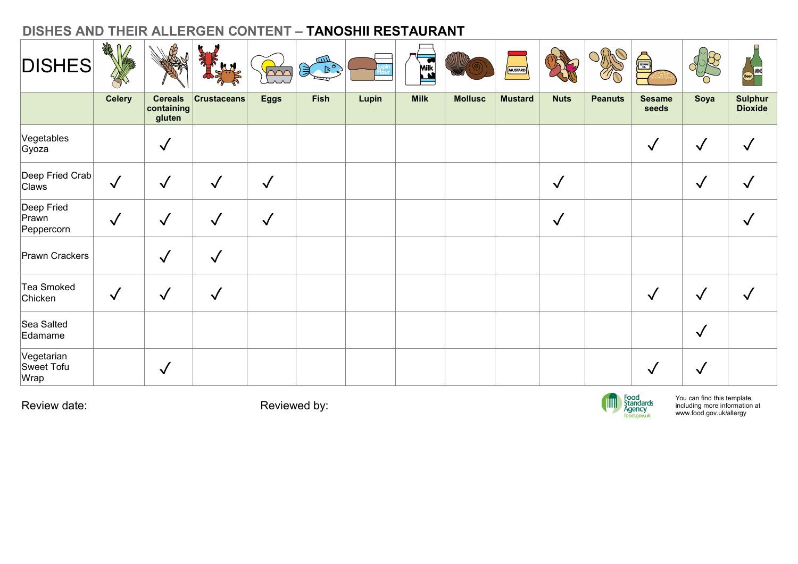| DISHES AND THEIR ALLERGEN CONTENT - TANOSHII RESTAURANT<br><b>DISHES</b> | $\sqrt{2}$    |                                        |                    | $\overline{\triangle\curvearrowright}$ | لللتكر<br>$\left( \begin{matrix} 0 & 0 \\ 0 & 0 \end{matrix} \right)$<br>ष्पा |       | Milk        |                | MUSTARD        |              | S              | <b>Alliance</b>                            | $\sqrt{58}$<br>'n                                                                       | Beer                             |
|--------------------------------------------------------------------------|---------------|----------------------------------------|--------------------|----------------------------------------|-------------------------------------------------------------------------------|-------|-------------|----------------|----------------|--------------|----------------|--------------------------------------------|-----------------------------------------------------------------------------------------|----------------------------------|
|                                                                          | <b>Celery</b> | <b>Cereals</b><br>containing<br>gluten | <b>Crustaceans</b> | <b>Eggs</b>                            | <b>Fish</b>                                                                   | Lupin | <b>Milk</b> | <b>Mollusc</b> | <b>Mustard</b> | <b>Nuts</b>  | <b>Peanuts</b> | <b>Sesame</b><br>seeds                     | Soya                                                                                    | <b>Sulphur</b><br><b>Dioxide</b> |
| Vegetables<br>Gyoza                                                      |               | $\checkmark$                           |                    |                                        |                                                                               |       |             |                |                |              |                | $\checkmark$                               | $\checkmark$                                                                            | $\checkmark$                     |
| Deep Fried Crab<br>Claws                                                 | $\sqrt{}$     | $\checkmark$                           | $\checkmark$       | $\checkmark$                           |                                                                               |       |             |                |                | $\checkmark$ |                |                                            | $\checkmark$                                                                            | $\checkmark$                     |
| Deep Fried<br>Prawn<br>Peppercorn                                        | $\sqrt{}$     | $\checkmark$                           | $\checkmark$       | $\checkmark$                           |                                                                               |       |             |                |                | $\checkmark$ |                |                                            |                                                                                         | $\checkmark$                     |
| Prawn Crackers                                                           |               | $\checkmark$                           | $\checkmark$       |                                        |                                                                               |       |             |                |                |              |                |                                            |                                                                                         |                                  |
| Tea Smoked<br>Chicken                                                    | $\checkmark$  | $\checkmark$                           | $\sqrt{ }$         |                                        |                                                                               |       |             |                |                |              |                | $\checkmark$                               | $\checkmark$                                                                            | $\sqrt{ }$                       |
| Sea Salted<br>Edamame                                                    |               |                                        |                    |                                        |                                                                               |       |             |                |                |              |                |                                            | $\checkmark$                                                                            |                                  |
| Vegetarian<br>Sweet Tofu<br>Wrap                                         |               | $\checkmark$                           |                    |                                        |                                                                               |       |             |                |                |              |                | $\sqrt{ }$                                 | $\checkmark$                                                                            |                                  |
| Review date:                                                             |               |                                        |                    |                                        | Reviewed by:                                                                  |       |             |                |                |              | <b>TITT</b>    | Food<br>Standards<br>Agency<br>food.gov.uk | You can find this template,<br>including more information at<br>www.food.gov.uk/allergy |                                  |
|                                                                          |               |                                        |                    |                                        |                                                                               |       |             |                |                |              |                |                                            |                                                                                         |                                  |

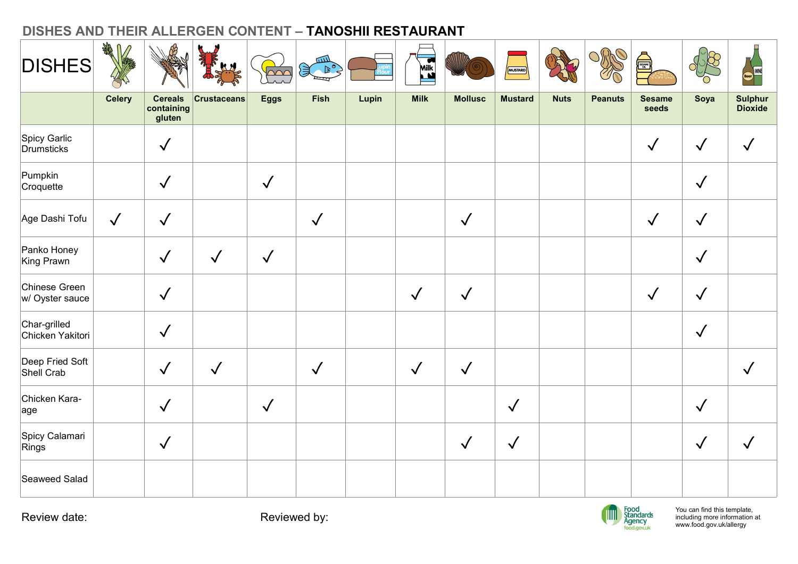| <b>DISHES</b>                    | 我儿            |                                                |                    | $\overline{\triangle\curvearrowright}$ | للاللا<br>$\mathbb{R}^{\circ}$<br>$\equiv$ |       | Milk         |                | MUSTARD        |             | R              | SESAME                 | $\sqrt{58}$<br>'n | Beer<br>Beer              |
|----------------------------------|---------------|------------------------------------------------|--------------------|----------------------------------------|--------------------------------------------|-------|--------------|----------------|----------------|-------------|----------------|------------------------|-------------------|---------------------------|
|                                  | <b>Celery</b> | <b>Cereals</b><br>$ $ containing $ $<br>gluten | <b>Crustaceans</b> | <b>Eggs</b>                            | Fish                                       | Lupin | <b>Milk</b>  | <b>Mollusc</b> | <b>Mustard</b> | <b>Nuts</b> | <b>Peanuts</b> | <b>Sesame</b><br>seeds | Soya              | Sulphur<br><b>Dioxide</b> |
| Spicy Garlic<br>Drumsticks       |               | $\checkmark$                                   |                    |                                        |                                            |       |              |                |                |             |                | $\checkmark$           | $\checkmark$      | $\checkmark$              |
| Pumpkin<br>Croquette             |               | $\checkmark$                                   |                    | $\checkmark$                           |                                            |       |              |                |                |             |                |                        | $\checkmark$      |                           |
| Age Dashi Tofu                   | $\checkmark$  | $\checkmark$                                   |                    |                                        | $\checkmark$                               |       |              | $\checkmark$   |                |             |                | $\checkmark$           | $\checkmark$      |                           |
| Panko Honey<br>King Prawn        |               | $\checkmark$                                   | $\checkmark$       | $\checkmark$                           |                                            |       |              |                |                |             |                |                        | $\checkmark$      |                           |
| Chinese Green<br>w/ Oyster sauce |               | $\checkmark$                                   |                    |                                        |                                            |       | $\checkmark$ | $\sqrt{ }$     |                |             |                | $\checkmark$           | $\checkmark$      |                           |
| Char-grilled<br>Chicken Yakitori |               | $\checkmark$                                   |                    |                                        |                                            |       |              |                |                |             |                |                        | $\sqrt{ }$        |                           |
| Deep Fried Soft<br>Shell Crab    |               | $\checkmark$                                   | $\checkmark$       |                                        | $\sqrt{ }$                                 |       | $\checkmark$ | $\checkmark$   |                |             |                |                        |                   | $\checkmark$              |
| Chicken Kara-<br>age             |               | $\checkmark$                                   |                    | $\sqrt{ }$                             |                                            |       |              |                | $\checkmark$   |             |                |                        | $\checkmark$      |                           |
| Spicy Calamari<br>Rings          |               | $\sqrt{2}$                                     |                    |                                        |                                            |       |              | $\checkmark$   | $\sqrt{ }$     |             |                |                        | $\checkmark$      | $\sqrt{2}$                |
| Seaweed Salad                    |               |                                                |                    |                                        |                                            |       |              |                |                |             |                |                        |                   |                           |

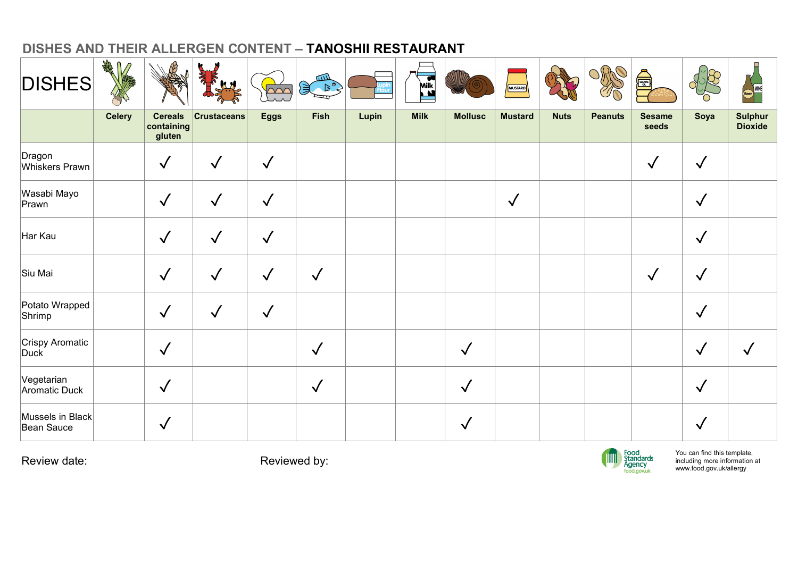| <b>Cereals</b><br><b>Milk</b><br>Sulphur<br><b>Celery</b><br><b>Crustaceans</b><br><b>Eggs</b><br><b>Fish</b><br><b>Mollusc</b><br><b>Mustard</b><br><b>Nuts</b><br><b>Sesame</b><br>Lupin<br><b>Peanuts</b><br>Soya<br>containing<br><b>Dioxide</b><br>seeds<br>gluten<br>Dragon<br>$\sqrt{ }$<br>$\checkmark$<br>$\checkmark$<br>$\checkmark$<br>$\checkmark$<br>Whiskers Prawn<br>Wasabi Mayo<br>$\sqrt{2}$<br>$\checkmark$<br>$\checkmark$<br>$\sqrt{}$<br>$\checkmark$<br>Prawn<br>Har Kau<br>$\checkmark$<br>$\checkmark$<br>$\sqrt{}$<br>$\checkmark$<br>$\checkmark$<br>Siu Mai<br>$\checkmark$<br>$\checkmark$<br>$\checkmark$<br>$\checkmark$<br>$\checkmark$<br>Potato Wrapped<br>$\checkmark$<br>$\checkmark$<br>$\checkmark$<br>$\checkmark$<br>Shrimp<br>Crispy Aromatic<br>Duck<br>$\checkmark$<br>$\sqrt{ }$<br>$\checkmark$<br>$\checkmark$<br>$\checkmark$<br>Vegetarian<br>$\sqrt{}$<br>$\checkmark$<br>$\checkmark$<br>$\checkmark$<br>Aromatic Duck<br>Mussels in Black<br>$\checkmark$<br>$\checkmark$<br>$\checkmark$<br>Bean Sauce | <b>DISHES</b> | A |  | $\triangle \triangle C$ | للاتير<br>$\mathcal{F}^{\mathcal{A}}$<br>ख्य | Milk | MUSTARD | $O_{\!R\!R}$ | <b>ANGEL</b> | $\frac{1}{2}$ | Reer<br>Reer |
|------------------------------------------------------------------------------------------------------------------------------------------------------------------------------------------------------------------------------------------------------------------------------------------------------------------------------------------------------------------------------------------------------------------------------------------------------------------------------------------------------------------------------------------------------------------------------------------------------------------------------------------------------------------------------------------------------------------------------------------------------------------------------------------------------------------------------------------------------------------------------------------------------------------------------------------------------------------------------------------------------------------------------------------------------------|---------------|---|--|-------------------------|----------------------------------------------|------|---------|--------------|--------------|---------------|--------------|
|                                                                                                                                                                                                                                                                                                                                                                                                                                                                                                                                                                                                                                                                                                                                                                                                                                                                                                                                                                                                                                                            |               |   |  |                         |                                              |      |         |              |              |               |              |
|                                                                                                                                                                                                                                                                                                                                                                                                                                                                                                                                                                                                                                                                                                                                                                                                                                                                                                                                                                                                                                                            |               |   |  |                         |                                              |      |         |              |              |               |              |
|                                                                                                                                                                                                                                                                                                                                                                                                                                                                                                                                                                                                                                                                                                                                                                                                                                                                                                                                                                                                                                                            |               |   |  |                         |                                              |      |         |              |              |               |              |
|                                                                                                                                                                                                                                                                                                                                                                                                                                                                                                                                                                                                                                                                                                                                                                                                                                                                                                                                                                                                                                                            |               |   |  |                         |                                              |      |         |              |              |               |              |
|                                                                                                                                                                                                                                                                                                                                                                                                                                                                                                                                                                                                                                                                                                                                                                                                                                                                                                                                                                                                                                                            |               |   |  |                         |                                              |      |         |              |              |               |              |
|                                                                                                                                                                                                                                                                                                                                                                                                                                                                                                                                                                                                                                                                                                                                                                                                                                                                                                                                                                                                                                                            |               |   |  |                         |                                              |      |         |              |              |               |              |
|                                                                                                                                                                                                                                                                                                                                                                                                                                                                                                                                                                                                                                                                                                                                                                                                                                                                                                                                                                                                                                                            |               |   |  |                         |                                              |      |         |              |              |               |              |
|                                                                                                                                                                                                                                                                                                                                                                                                                                                                                                                                                                                                                                                                                                                                                                                                                                                                                                                                                                                                                                                            |               |   |  |                         |                                              |      |         |              |              |               |              |
|                                                                                                                                                                                                                                                                                                                                                                                                                                                                                                                                                                                                                                                                                                                                                                                                                                                                                                                                                                                                                                                            |               |   |  |                         |                                              |      |         |              |              |               |              |

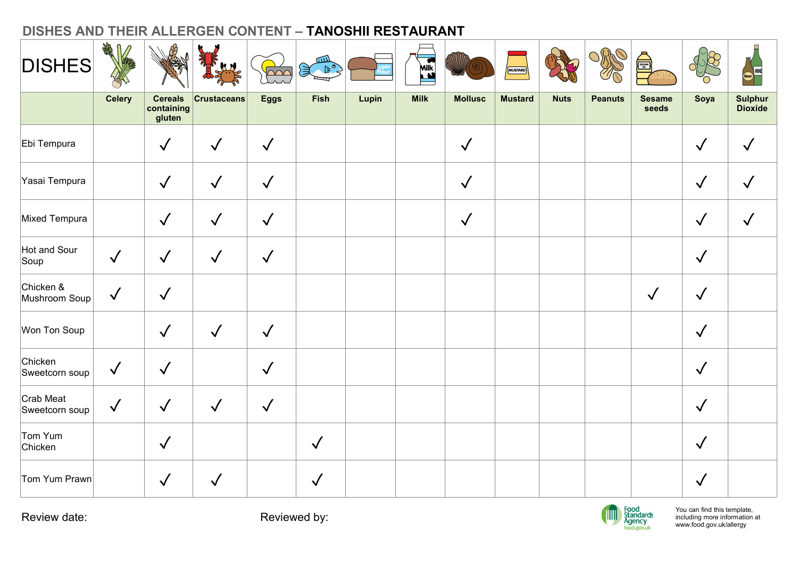| DISHES AND THEIR ALLERGEN CONTENT - TANOSHII RESTAURANT<br><b>DISHES</b> | 1 绿           |                                        |                 | $\overline{\triangle\curvearrowright}$ | سه<br>$\mathcal{F}$<br>ष्प |       | Milk        |                | MUSTARD        |             | <b>SEP</b>     | SSAME)                 | R<br>O       | <b>Ecer</b>               |
|--------------------------------------------------------------------------|---------------|----------------------------------------|-----------------|----------------------------------------|----------------------------|-------|-------------|----------------|----------------|-------------|----------------|------------------------|--------------|---------------------------|
|                                                                          | <b>Celery</b> | <b>Cereals</b><br>containing<br>gluten | $ $ Crustaceans | <b>Eggs</b>                            | Fish                       | Lupin | <b>Milk</b> | <b>Mollusc</b> | <b>Mustard</b> | <b>Nuts</b> | <b>Peanuts</b> | <b>Sesame</b><br>seeds | Soya         | Sulphur<br><b>Dioxide</b> |
| Ebi Tempura                                                              |               | $\checkmark$                           | $\checkmark$    | $\sqrt{}$                              |                            |       |             | $\checkmark$   |                |             |                |                        | $\checkmark$ | $\checkmark$              |
| Yasai Tempura                                                            |               | $\checkmark$                           | $\checkmark$    | $\sqrt{}$                              |                            |       |             | $\sqrt{}$      |                |             |                |                        | $\checkmark$ | $\checkmark$              |
| Mixed Tempura                                                            |               | $\checkmark$                           | $\sqrt{}$       | $\sqrt{}$                              |                            |       |             | $\checkmark$   |                |             |                |                        | $\checkmark$ | $\checkmark$              |
| Hot and Sour<br>Soup                                                     | $\checkmark$  | $\checkmark$                           | $\sqrt{2}$      | $\sqrt{}$                              |                            |       |             |                |                |             |                |                        | $\checkmark$ |                           |
| Chicken &<br>Mushroom Soup                                               | $\sqrt{2}$    | $\sqrt{2}$                             |                 |                                        |                            |       |             |                |                |             |                | $\checkmark$           | $\checkmark$ |                           |
| Won Ton Soup                                                             |               | $\checkmark$                           | $\checkmark$    | $\checkmark$                           |                            |       |             |                |                |             |                |                        | $\checkmark$ |                           |
| Chicken<br>Sweetcorn soup                                                | $\checkmark$  | $\checkmark$                           |                 | $\checkmark$                           |                            |       |             |                |                |             |                |                        | $\checkmark$ |                           |
| Crab Meat<br>Sweetcorn soup                                              | $\sqrt$       | $\checkmark$                           | $\checkmark$    | $\sqrt{}$                              |                            |       |             |                |                |             |                |                        | $\checkmark$ |                           |
| Tom Yum<br>Chicken                                                       |               | $\checkmark$                           |                 |                                        | $\sqrt{2}$                 |       |             |                |                |             |                |                        | $\checkmark$ |                           |
| Tom Yum Prawn                                                            |               | $\checkmark$                           | $\checkmark$    |                                        | $\checkmark$               |       |             |                |                |             |                |                        | $\checkmark$ |                           |

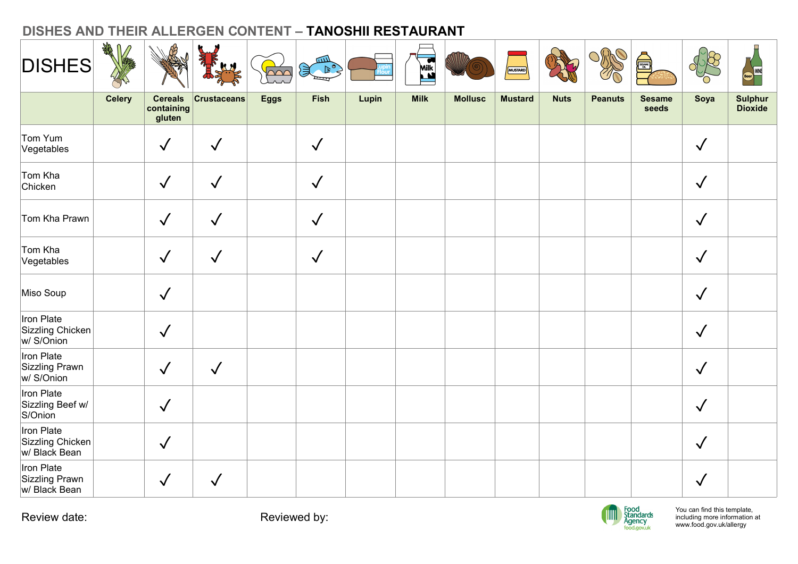|                                                 | AR<br>REF     |                                        |                 |                                   | سه                                       | DISHES AND THEIR ALLERGEN CONTENT - TANOSHII RESTAURANT |             |                |                |             |                |                                            |                                                                                         |                           |
|-------------------------------------------------|---------------|----------------------------------------|-----------------|-----------------------------------|------------------------------------------|---------------------------------------------------------|-------------|----------------|----------------|-------------|----------------|--------------------------------------------|-----------------------------------------------------------------------------------------|---------------------------|
| <b>DISHES</b>                                   |               |                                        |                 | $\overline{\triangle\triangle C}$ | $\left(\frac{1}{2}\right)^{2}$<br>ष्ट्या |                                                         | Milk        |                | MUSTARD        |             | <b>SEP</b>     | SESAME                                     | R<br>O                                                                                  | <b>Beer</b>               |
|                                                 | <b>Celery</b> | <b>Cereals</b><br>containing<br>gluten | $ $ Crustaceans | <b>Eggs</b>                       | Fish                                     | Lupin                                                   | <b>Milk</b> | <b>Mollusc</b> | <b>Mustard</b> | <b>Nuts</b> | <b>Peanuts</b> | <b>Sesame</b><br>seeds                     | Soya                                                                                    | Sulphur<br><b>Dioxide</b> |
| Tom Yum<br>Vegetables                           |               | $\checkmark$                           | $\checkmark$    |                                   | $\checkmark$                             |                                                         |             |                |                |             |                |                                            | $\checkmark$                                                                            |                           |
| Tom Kha<br>Chicken                              |               | $\checkmark$                           | $\checkmark$    |                                   | $\checkmark$                             |                                                         |             |                |                |             |                |                                            | $\checkmark$                                                                            |                           |
| Tom Kha Prawn                                   |               | $\checkmark$                           | $\sqrt{}$       |                                   | $\checkmark$                             |                                                         |             |                |                |             |                |                                            | $\checkmark$                                                                            |                           |
| Tom Kha<br>Vegetables                           |               | $\sqrt{}$                              | $\checkmark$    |                                   | $\sqrt{}$                                |                                                         |             |                |                |             |                |                                            | $\checkmark$                                                                            |                           |
| Miso Soup                                       |               | $\checkmark$                           |                 |                                   |                                          |                                                         |             |                |                |             |                |                                            | $\checkmark$                                                                            |                           |
| Iron Plate<br>Sizzling Chicken<br>w/ S/Onion    |               | $\checkmark$                           |                 |                                   |                                          |                                                         |             |                |                |             |                |                                            | $\checkmark$                                                                            |                           |
| Iron Plate<br>Sizzling Prawn<br>w/ S/Onion      |               | $\checkmark$                           | $\sqrt{ }$      |                                   |                                          |                                                         |             |                |                |             |                |                                            | $\checkmark$                                                                            |                           |
| Iron Plate<br>Sizzling Beef w/<br>S/Onion       |               | $\sqrt{}$                              |                 |                                   |                                          |                                                         |             |                |                |             |                |                                            | $\checkmark$                                                                            |                           |
| Iron Plate<br>Sizzling Chicken<br>w/ Black Bean |               | $\sqrt{2}$                             |                 |                                   |                                          |                                                         |             |                |                |             |                |                                            | $\checkmark$                                                                            |                           |
| Iron Plate<br>Sizzling Prawn<br> w/ Black Bean  |               | $\checkmark$                           | $\checkmark$    |                                   |                                          |                                                         |             |                |                |             |                |                                            | $\checkmark$                                                                            |                           |
| Review date:                                    |               |                                        |                 | Reviewed by:                      |                                          |                                                         |             |                |                |             | IIII           | Food<br>Standards<br>Agency<br>food.gov.uk | You can find this template,<br>including more information at<br>www.food.gov.uk/allergy |                           |

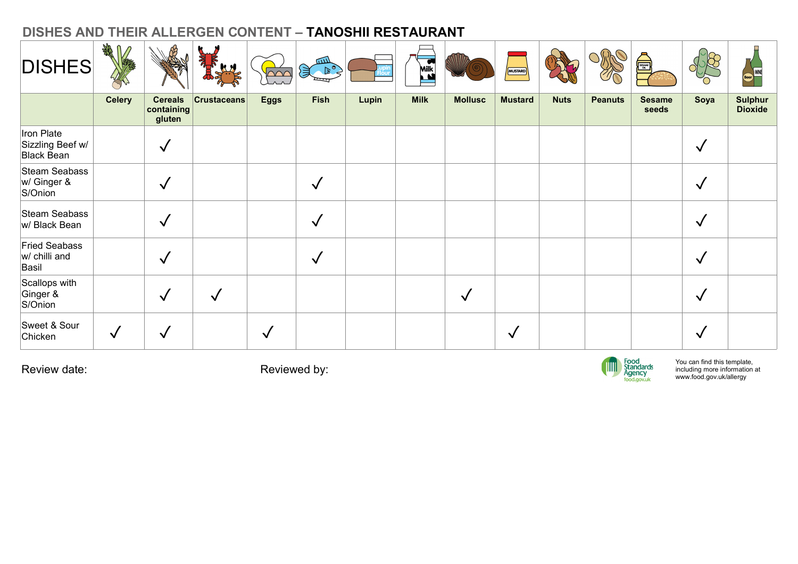| DISHES AND THEIR ALLERGEN CONTENT - TANOSHII RESTAURANT |               |                                                |                 |                                  |                             |       |             |                |                |             |                |                                            |                                                                                         |                           |
|---------------------------------------------------------|---------------|------------------------------------------------|-----------------|----------------------------------|-----------------------------|-------|-------------|----------------|----------------|-------------|----------------|--------------------------------------------|-----------------------------------------------------------------------------------------|---------------------------|
| <b>DISHES</b>                                           | SER M         |                                                |                 | $\overline{\triangle\triangle'}$ | للللآ<br>$\geq$<br>$\equiv$ |       | Milk        |                | MUSTARD        |             | ORS            |                                            | $\frac{1}{2}$<br>'n                                                                     | Beer<br>Beer              |
|                                                         | <b>Celery</b> | <b>Cereals</b><br>$ $ containing $ $<br>gluten | $ $ Crustaceans | <b>Eggs</b>                      | Fish                        | Lupin | <b>Milk</b> | <b>Mollusc</b> | <b>Mustard</b> | <b>Nuts</b> | <b>Peanuts</b> | <b>Sesame</b><br>seeds                     | Soya                                                                                    | Sulphur<br><b>Dioxide</b> |
| Iron Plate<br>Sizzling Beef w/<br>Black Bean            |               | $\checkmark$                                   |                 |                                  |                             |       |             |                |                |             |                |                                            | $\checkmark$                                                                            |                           |
| Steam Seabass<br>$w/G$ inger &<br>S/Onion               |               | $\checkmark$                                   |                 |                                  | $\checkmark$                |       |             |                |                |             |                |                                            | $\checkmark$                                                                            |                           |
| Steam Seabass<br>w/ Black Bean                          |               | $\checkmark$                                   |                 |                                  | $\checkmark$                |       |             |                |                |             |                |                                            | $\checkmark$                                                                            |                           |
| Fried Seabass<br>$w/$ chilli and<br>Basil               |               | $\sqrt{}$                                      |                 |                                  | $\checkmark$                |       |             |                |                |             |                |                                            | $\checkmark$                                                                            |                           |
| Scallops with<br>Ginger &<br>S/Onion                    |               | $\checkmark$                                   | $\sqrt{2}$      |                                  |                             |       |             | $\checkmark$   |                |             |                |                                            | $\checkmark$                                                                            |                           |
| Sweet & Sour<br>Chicken                                 | $\checkmark$  | $\checkmark$                                   |                 | $\checkmark$                     |                             |       |             |                | $\sqrt{ }$     |             |                |                                            | $\checkmark$                                                                            |                           |
| Review date:                                            |               |                                                |                 | Reviewed by:                     |                             |       |             |                |                |             | <b>TITT</b>    | Food<br>Standards<br>Agency<br>food.gov.uk | You can find this template,<br>including more information at<br>www.food.gov.uk/allergy |                           |
|                                                         |               |                                                |                 |                                  |                             |       |             |                |                |             |                |                                            |                                                                                         |                           |

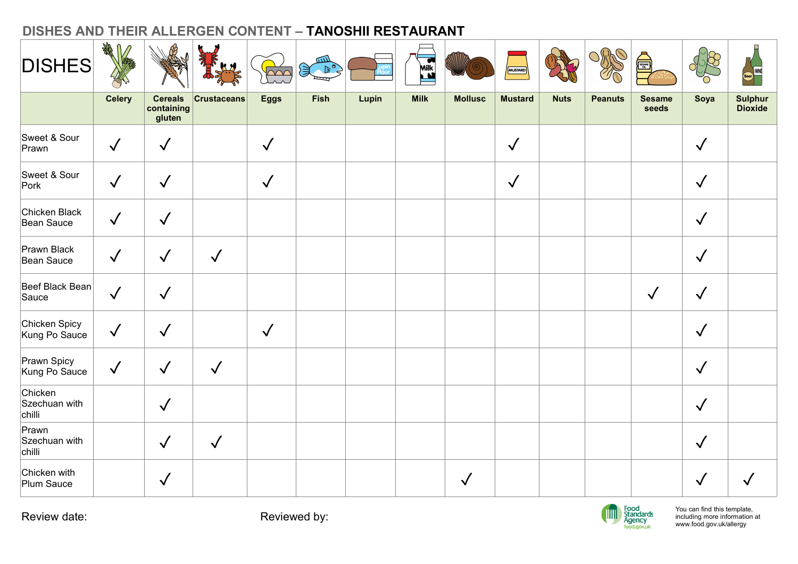| DISHES AND THEIR ALLERGEN CONTENT - TANOSHII RESTAURANT | A AB<br>$\sqrt{2}$ |                                                |                 |              |               |       |             |                |                |             | ORO            |                        |              |                           |
|---------------------------------------------------------|--------------------|------------------------------------------------|-----------------|--------------|---------------|-------|-------------|----------------|----------------|-------------|----------------|------------------------|--------------|---------------------------|
| <b>DISHES</b>                                           |                    |                                                |                 | $\sim$       | $B^o$<br>प्पा |       | <b>Milk</b> |                | MUSTARD        |             |                | <b>SESAME</b>          | $\approx$    | Beer<br>Beer              |
|                                                         | <b>Celery</b>      | <b>Cereals</b><br>$ $ containing $ $<br>gluten | $ $ Crustaceans | <b>Eggs</b>  | Fish          | Lupin | <b>Milk</b> | <b>Mollusc</b> | <b>Mustard</b> | <b>Nuts</b> | <b>Peanuts</b> | <b>Sesame</b><br>seeds | Soya         | Sulphur<br><b>Dioxide</b> |
| Sweet & Sour<br>Prawn                                   | $\sqrt{}$          | $\checkmark$                                   |                 | $\sqrt{}$    |               |       |             |                | $\checkmark$   |             |                |                        | $\checkmark$ |                           |
| Sweet & Sour<br>$ $ Pork                                | $\sqrt{}$          | $\checkmark$                                   |                 | $\checkmark$ |               |       |             |                | $\checkmark$   |             |                |                        | $\checkmark$ |                           |
| Chicken Black<br>Bean Sauce                             | $\sqrt{}$          | $\checkmark$                                   |                 |              |               |       |             |                |                |             |                |                        | $\checkmark$ |                           |
| Prawn Black<br>Bean Sauce                               | $\checkmark$       | $\checkmark$                                   | $\sqrt{2}$      |              |               |       |             |                |                |             |                |                        | $\checkmark$ |                           |
| Beef Black Bean                                         | $\sqrt{2}$         | $\sqrt{2}$                                     |                 |              |               |       |             |                |                |             |                | $\checkmark$           | $\checkmark$ |                           |
| Chicken Spicy<br>Kung Po Sauce                          | $\sqrt{ }$         | $\checkmark$                                   |                 | $\checkmark$ |               |       |             |                |                |             |                |                        | $\checkmark$ |                           |
| Prawn Spicy<br>Kung Po Sauce                            | $\checkmark$       | $\sqrt{ }$                                     | $\checkmark$    |              |               |       |             |                |                |             |                |                        | $\checkmark$ |                           |
| Chicken<br>Szechuan with<br>chilli                      |                    | $\sqrt{2}$                                     |                 |              |               |       |             |                |                |             |                |                        | $\checkmark$ |                           |
| Prawn<br>Szechuan with<br>chilli                        |                    | $\sqrt{2}$                                     | $\sqrt{ }$      |              |               |       |             |                |                |             |                |                        | $\checkmark$ |                           |
| Chicken with<br>Plum Sauce                              |                    | $\checkmark$                                   |                 |              |               |       |             | $\sqrt{}$      |                |             |                |                        | $\checkmark$ | $\checkmark$              |

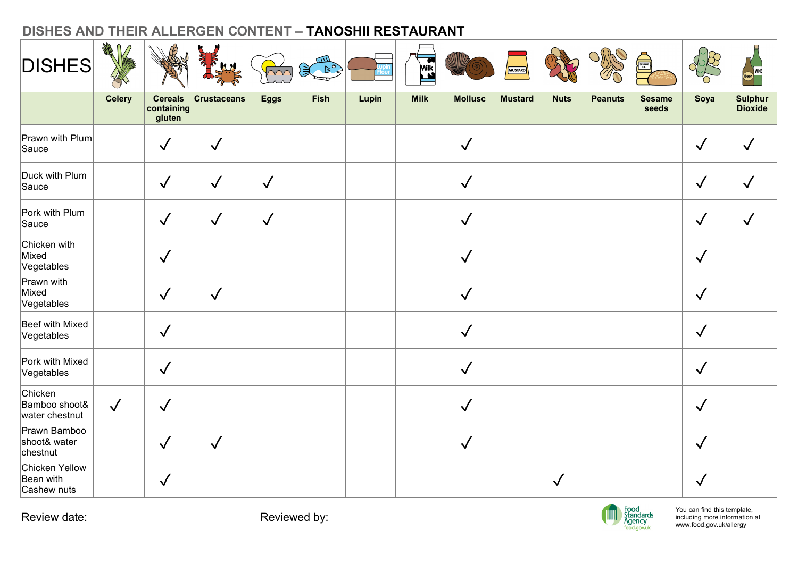| DISHES AND THEIR ALLERGEN CONTENT - TANOSHII RESTAURANT | n Az          |                                                |                 |              |                      |       |             |                |                |              | $O_0$          |                                            |                                                                                         |                           |
|---------------------------------------------------------|---------------|------------------------------------------------|-----------------|--------------|----------------------|-------|-------------|----------------|----------------|--------------|----------------|--------------------------------------------|-----------------------------------------------------------------------------------------|---------------------------|
| <b>DISHES</b>                                           |               |                                                |                 | $\sim$       | $\mathbb{R}^{\circ}$ |       | <b>Milk</b> |                | MUSTARD        |              |                | <b>SESAME</b>                              | $\approx$                                                                               | Beer<br>Beer              |
|                                                         | <b>Celery</b> | <b>Cereals</b><br>$ $ containing $ $<br>gluten | $ $ Crustaceans | <b>Eggs</b>  | Fish                 | Lupin | <b>Milk</b> | <b>Mollusc</b> | <b>Mustard</b> | <b>Nuts</b>  | <b>Peanuts</b> | <b>Sesame</b><br>seeds                     | Soya                                                                                    | Sulphur<br><b>Dioxide</b> |
| Prawn with Plum<br>Sauce                                |               | $\checkmark$                                   | $\sqrt{2}$      |              |                      |       |             | $\checkmark$   |                |              |                |                                            | $\checkmark$                                                                            | $\checkmark$              |
| Duck with Plum<br>Sauce                                 |               | $\checkmark$                                   | $\sqrt{2}$      | $\checkmark$ |                      |       |             | $\checkmark$   |                |              |                |                                            | $\checkmark$                                                                            | $\checkmark$              |
| Pork with Plum<br>Sauce                                 |               | $\checkmark$                                   | $\checkmark$    | $\checkmark$ |                      |       |             | $\checkmark$   |                |              |                |                                            | $\checkmark$                                                                            | $\checkmark$              |
| Chicken with<br>Mixed<br>Vegetables                     |               | $\checkmark$                                   |                 |              |                      |       |             | $\sqrt{}$      |                |              |                |                                            | $\checkmark$                                                                            |                           |
| Prawn with<br>Mixed<br>Vegetables                       |               | $\sqrt{ }$                                     | $\sqrt{}$       |              |                      |       |             | $\checkmark$   |                |              |                |                                            | $\checkmark$                                                                            |                           |
| Beef with Mixed<br>Vegetables                           |               | $\sqrt{ }$                                     |                 |              |                      |       |             | $\checkmark$   |                |              |                |                                            | $\checkmark$                                                                            |                           |
| Pork with Mixed<br>Vegetables                           |               | $\sqrt{ }$                                     |                 |              |                      |       |             | $\sqrt{}$      |                |              |                |                                            | $\checkmark$                                                                            |                           |
| Chicken<br>Bamboo shoot&<br>water chestnut              | $\sqrt{}$     | $\checkmark$                                   |                 |              |                      |       |             | $\checkmark$   |                |              |                |                                            | $\checkmark$                                                                            |                           |
| Prawn Bamboo<br>shoot& water<br>chestnut                |               | $\checkmark$                                   | $\checkmark$    |              |                      |       |             | $\sqrt{}$      |                |              |                |                                            | $\checkmark$                                                                            |                           |
| Chicken Yellow<br>Bean with                             |               | $\checkmark$                                   |                 |              |                      |       |             |                |                | $\checkmark$ |                |                                            | $\checkmark$                                                                            |                           |
| Cashew nuts<br>Review date:                             |               |                                                |                 | Reviewed by: |                      |       |             |                |                |              | <b>TITU</b>    | Food<br>Standards<br>Agency<br>food.gov.uk | You can find this template,<br>including more information at<br>www.food.gov.uk/allergy |                           |

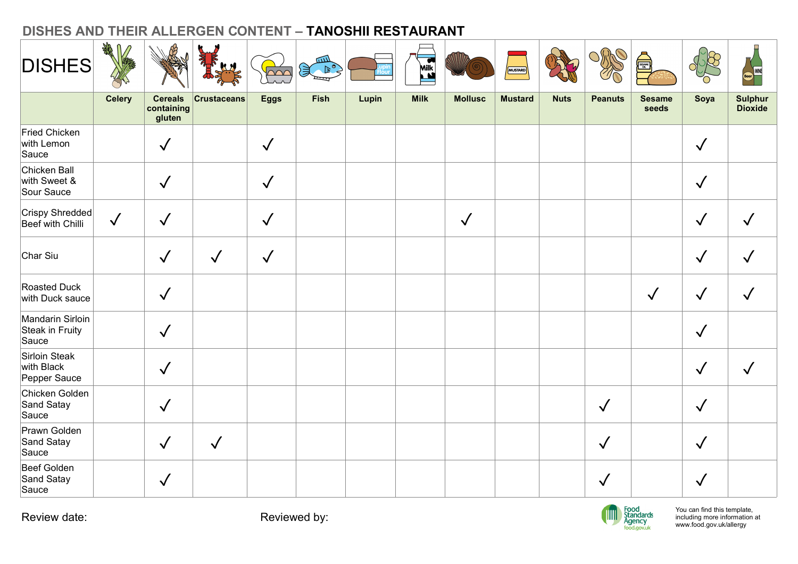|                                              |               |                                        | DISHES AND THEIR ALLERGEN CONTENT - TANOSHII RESTAURANT |                                   |                                      |       |                   |                |                |             |                |                                            |                                                                                         |                           |
|----------------------------------------------|---------------|----------------------------------------|---------------------------------------------------------|-----------------------------------|--------------------------------------|-------|-------------------|----------------|----------------|-------------|----------------|--------------------------------------------|-----------------------------------------------------------------------------------------|---------------------------|
| <b>DISHES</b>                                | AR<br>REF     |                                        |                                                         | $\overline{\triangle\triangle C}$ | سه<br>$\mathbb{R}^{\circ}$<br>ष्ट्या |       | <b>Milk</b><br>La |                | MUSTARD        |             | <b>SEP</b>     | <b>THE SEA</b>                             | R<br>O)                                                                                 | Beer WNE                  |
|                                              | <b>Celery</b> | <b>Cereals</b><br>containing<br>gluten | $ $ Crustaceans                                         | <b>Eggs</b>                       | <b>Fish</b>                          | Lupin | <b>Milk</b>       | <b>Mollusc</b> | <b>Mustard</b> | <b>Nuts</b> | <b>Peanuts</b> | <b>Sesame</b><br>seeds                     | Soya                                                                                    | Sulphur<br><b>Dioxide</b> |
| Fried Chicken<br>with Lemon<br>Sauce         |               | $\checkmark$                           |                                                         | $\checkmark$                      |                                      |       |                   |                |                |             |                |                                            | $\checkmark$                                                                            |                           |
| Chicken Ball<br>with Sweet &<br>Sour Sauce   |               | $\checkmark$                           |                                                         | $\checkmark$                      |                                      |       |                   |                |                |             |                |                                            | $\checkmark$                                                                            |                           |
| Crispy Shredded<br>Beef with Chilli          | $\checkmark$  | $\checkmark$                           |                                                         | $\checkmark$                      |                                      |       |                   | $\sqrt{}$      |                |             |                |                                            | $\checkmark$                                                                            | $\checkmark$              |
| Char Siu                                     |               | $\checkmark$                           | $\checkmark$                                            | $\sqrt{}$                         |                                      |       |                   |                |                |             |                |                                            | $\checkmark$                                                                            | $\checkmark$              |
| Roasted Duck<br>with Duck sauce              |               | $\checkmark$                           |                                                         |                                   |                                      |       |                   |                |                |             |                | $\checkmark$                               | $\checkmark$                                                                            | $\checkmark$              |
| Mandarin Sirloin<br>Steak in Fruity<br>Sauce |               | $\checkmark$                           |                                                         |                                   |                                      |       |                   |                |                |             |                |                                            | $\checkmark$                                                                            |                           |
| Sirloin Steak<br>with Black<br>Pepper Sauce  |               | $\checkmark$                           |                                                         |                                   |                                      |       |                   |                |                |             |                |                                            | $\checkmark$                                                                            | $\checkmark$              |
| Chicken Golden<br>Sand Satay<br>Sauce        |               | $\checkmark$                           |                                                         |                                   |                                      |       |                   |                |                |             | $\checkmark$   |                                            | $\checkmark$                                                                            |                           |
| Prawn Golden<br>Sand Satay<br>Sauce          |               | $\checkmark$                           | $\sqrt{ }$                                              |                                   |                                      |       |                   |                |                |             | $\sqrt{}$      |                                            | $\checkmark$                                                                            |                           |
| Beef Golden<br>Sand Satay<br>Sauce           |               | $\checkmark$                           |                                                         |                                   |                                      |       |                   |                |                |             | $\checkmark$   |                                            | $\checkmark$                                                                            |                           |
| Review date:                                 |               |                                        |                                                         |                                   | Reviewed by:                         |       |                   |                |                |             | <b>TITTE</b>   | Food<br>Standards<br>Agency<br>food.gov.uk | You can find this template,<br>including more information at<br>www.food.gov.uk/allergy |                           |

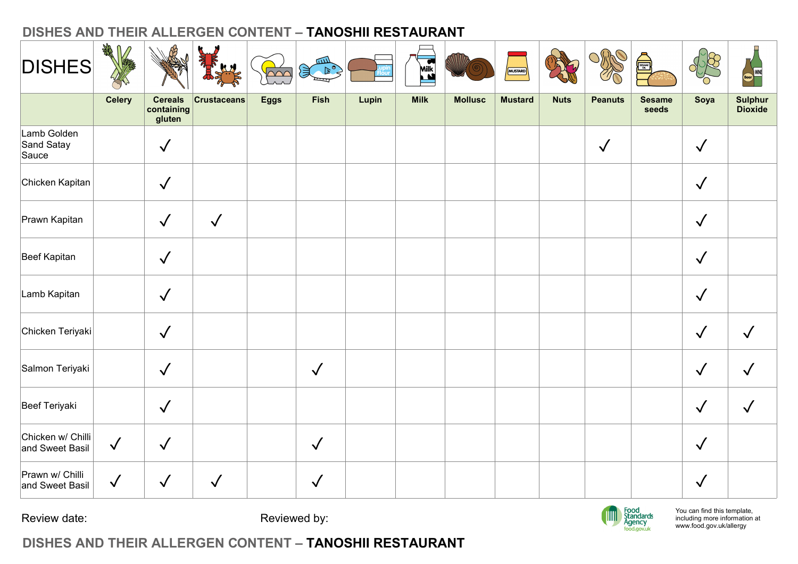| <b>DISHES</b>                        | 我们            |                                        |                 | $\sim$       | $\mathbb{R}^{\circ}$<br>ष्पा |       | Milk        |                | MUSTARD        |             | <b>SEP</b>     | SESAME                                     | $\chi$<br>C                                                                             | <b>Ecer</b>               |
|--------------------------------------|---------------|----------------------------------------|-----------------|--------------|------------------------------|-------|-------------|----------------|----------------|-------------|----------------|--------------------------------------------|-----------------------------------------------------------------------------------------|---------------------------|
|                                      | <b>Celery</b> | <b>Cereals</b><br>containing<br>gluten | $ $ Crustaceans | <b>Eggs</b>  | Fish                         | Lupin | <b>Milk</b> | <b>Mollusc</b> | <b>Mustard</b> | <b>Nuts</b> | <b>Peanuts</b> | <b>Sesame</b><br>seeds                     | Soya                                                                                    | Sulphur<br><b>Dioxide</b> |
| Lamb Golden<br>Sand Satay<br>Sauce   |               | $\checkmark$                           |                 |              |                              |       |             |                |                |             | $\checkmark$   |                                            | $\checkmark$                                                                            |                           |
| Chicken Kapitan                      |               | $\checkmark$                           |                 |              |                              |       |             |                |                |             |                |                                            | $\checkmark$                                                                            |                           |
| Prawn Kapitan                        |               | $\checkmark$                           | $\checkmark$    |              |                              |       |             |                |                |             |                |                                            | $\checkmark$                                                                            |                           |
| Beef Kapitan                         |               | $\sqrt{ }$                             |                 |              |                              |       |             |                |                |             |                |                                            | $\checkmark$                                                                            |                           |
| Lamb Kapitan                         |               | $\sqrt{2}$                             |                 |              |                              |       |             |                |                |             |                |                                            | $\checkmark$                                                                            |                           |
| Chicken Teriyaki                     |               | $\checkmark$                           |                 |              |                              |       |             |                |                |             |                |                                            | $\checkmark$                                                                            | $\checkmark$              |
| Salmon Teriyaki                      |               | $\checkmark$                           |                 |              | $\checkmark$                 |       |             |                |                |             |                |                                            | $\checkmark$                                                                            | $\checkmark$              |
| Beef Teriyaki                        |               | $\sqrt{ }$                             |                 |              |                              |       |             |                |                |             |                |                                            | $\checkmark$                                                                            | $\checkmark$              |
| Chicken w/ Chilli<br>and Sweet Basil | $\sqrt{ }$    | $\checkmark$                           |                 |              | $\checkmark$                 |       |             |                |                |             |                |                                            | $\checkmark$                                                                            |                           |
| Prawn w/ Chilli<br>and Sweet Basil   | $\sqrt{2}$    | $\checkmark$                           | $\sqrt{ }$      |              | $\sqrt{2}$                   |       |             |                |                |             |                |                                            | $\checkmark$                                                                            |                           |
| Review date:                         |               |                                        |                 | Reviewed by: |                              |       |             |                |                |             | $\mathbb{I}$   | Food<br>Standards<br>Agency<br>food.gov.uk | You can find this template,<br>including more information at<br>www.food.gov.uk/allergy |                           |

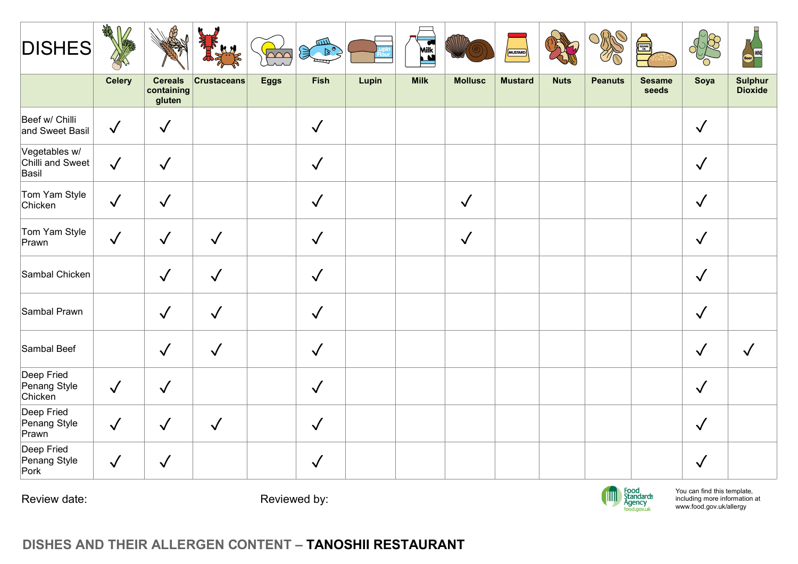| <b>DISHES</b>                              | $\frac{d\phi}{d\phi}$ |                                        |                    | $\overline{\sim}$ | سه<br>浸<br>$\begin{picture}(180,10) \put(0,0){\line(1,0){10}} \put(10,0){\line(1,0){10}} \put(10,0){\line(1,0){10}} \put(10,0){\line(1,0){10}} \put(10,0){\line(1,0){10}} \put(10,0){\line(1,0){10}} \put(10,0){\line(1,0){10}} \put(10,0){\line(1,0){10}} \put(10,0){\line(1,0){10}} \put(10,0){\line(1,0){10}} \put(10,0){\line(1,0){10}} \put(10,0){\line($<br>ख्य |       | $\bullet$<br>Milk |                | MUSTARD        |             | RAS            | SESARE                                     | Ő                                                                                       | Beer<br>Beer               |
|--------------------------------------------|-----------------------|----------------------------------------|--------------------|-------------------|-----------------------------------------------------------------------------------------------------------------------------------------------------------------------------------------------------------------------------------------------------------------------------------------------------------------------------------------------------------------------|-------|-------------------|----------------|----------------|-------------|----------------|--------------------------------------------|-----------------------------------------------------------------------------------------|----------------------------|
|                                            | <b>Celery</b>         | <b>Cereals</b><br>containing<br>gluten | <b>Crustaceans</b> | <b>Eggs</b>       | Fish                                                                                                                                                                                                                                                                                                                                                                  | Lupin | <b>Milk</b>       | <b>Mollusc</b> | <b>Mustard</b> | <b>Nuts</b> | <b>Peanuts</b> | <b>Sesame</b><br>seeds                     | Soya                                                                                    | <b>Sulphur<br/>Dioxide</b> |
| Beef w/ Chilli<br>and Sweet Basil          | $\sqrt{ }$            | $\checkmark$                           |                    |                   | $\sqrt{ }$                                                                                                                                                                                                                                                                                                                                                            |       |                   |                |                |             |                |                                            | $\checkmark$                                                                            |                            |
| Vegetables w/<br>Chilli and Sweet<br>Basil | $\checkmark$          | $\checkmark$                           |                    |                   | $\checkmark$                                                                                                                                                                                                                                                                                                                                                          |       |                   |                |                |             |                |                                            | $\checkmark$                                                                            |                            |
| Tom Yam Style<br>Chicken                   | $\checkmark$          | $\checkmark$                           |                    |                   | $\checkmark$                                                                                                                                                                                                                                                                                                                                                          |       |                   | $\checkmark$   |                |             |                |                                            | $\checkmark$                                                                            |                            |
| Tom Yam Style<br>Prawn                     | $\sqrt{ }$            | $\checkmark$                           | $\checkmark$       |                   | $\checkmark$                                                                                                                                                                                                                                                                                                                                                          |       |                   | $\checkmark$   |                |             |                |                                            | $\checkmark$                                                                            |                            |
| Sambal Chicken                             |                       | $\checkmark$                           | $\checkmark$       |                   | $\sqrt{ }$                                                                                                                                                                                                                                                                                                                                                            |       |                   |                |                |             |                |                                            | $\checkmark$                                                                            |                            |
| Sambal Prawn                               |                       | $\checkmark$                           | $\sqrt{}$          |                   | $\checkmark$                                                                                                                                                                                                                                                                                                                                                          |       |                   |                |                |             |                |                                            | $\checkmark$                                                                            |                            |
| Sambal Beef                                |                       | $\checkmark$                           | $\sqrt{ }$         |                   | $\checkmark$                                                                                                                                                                                                                                                                                                                                                          |       |                   |                |                |             |                |                                            | $\checkmark$                                                                            | $\checkmark$               |
| Deep Fried<br>Penang Style<br>Chicken      | $\sqrt{}$             | $\checkmark$                           |                    |                   | $\checkmark$                                                                                                                                                                                                                                                                                                                                                          |       |                   |                |                |             |                |                                            | $\checkmark$                                                                            |                            |
| Deep Fried<br>Penang Style<br>Prawn        | $\sqrt{}$             | $\checkmark$                           | $\checkmark$       |                   | $\checkmark$                                                                                                                                                                                                                                                                                                                                                          |       |                   |                |                |             |                |                                            | $\checkmark$                                                                            |                            |
| Deep Fried<br>Penang Style<br>Pork         | $\sqrt{}$             | $\checkmark$                           |                    |                   | $\sqrt{ }$                                                                                                                                                                                                                                                                                                                                                            |       |                   |                |                |             |                |                                            | $\checkmark$                                                                            |                            |
| Review date:                               |                       |                                        |                    | Reviewed by:      |                                                                                                                                                                                                                                                                                                                                                                       |       |                   |                |                |             | <b>TITLE</b>   | Food<br>Standards<br>Agency<br>food.gov.uk | You can find this template,<br>including more information at<br>www.food.gov.uk/allergy |                            |

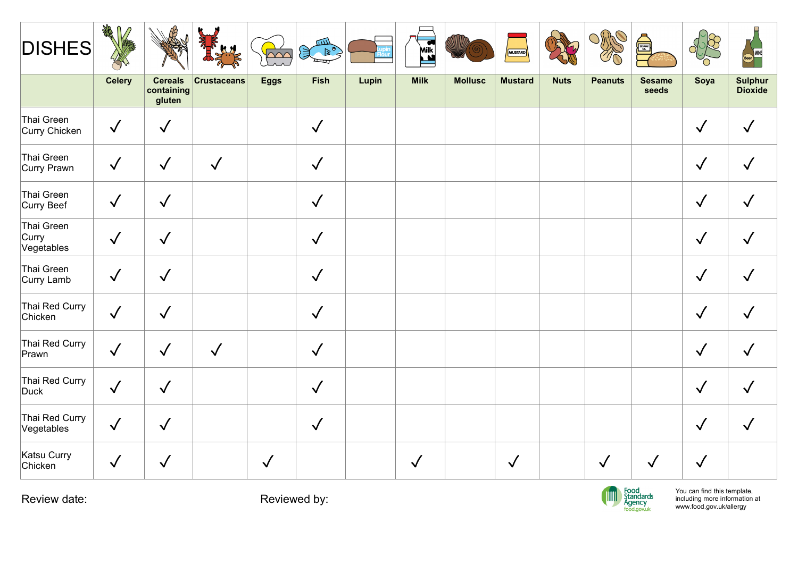| <b>DISHES</b>                     | 绿几            |                                        |                    | $\overline{\bigcap}$ | للاتنا<br>$\left(\frac{1}{2}\right)^{2}$<br>ستستل |       | Milk         |                | MUSTARD        |             | S              | <b>THE REAL PROPERTY AND</b>               | ofie                                                                                    | Reer<br>Reer<br>State Reer |
|-----------------------------------|---------------|----------------------------------------|--------------------|----------------------|---------------------------------------------------|-------|--------------|----------------|----------------|-------------|----------------|--------------------------------------------|-----------------------------------------------------------------------------------------|----------------------------|
|                                   | <b>Celery</b> | <b>Cereals</b><br>containing<br>gluten | <b>Crustaceans</b> | <b>Eggs</b>          | Fish                                              | Lupin | <b>Milk</b>  | <b>Mollusc</b> | <b>Mustard</b> | <b>Nuts</b> | <b>Peanuts</b> | <b>Sesame</b><br>seeds                     | Soya                                                                                    | <b>Sulphur<br/>Dioxide</b> |
| Thai Green<br>Curry Chicken       | $\checkmark$  | $\checkmark$                           |                    |                      | $\sqrt{ }$                                        |       |              |                |                |             |                |                                            | $\checkmark$                                                                            | $\checkmark$               |
| Thai Green<br>Curry Prawn         | $\checkmark$  | $\checkmark$                           | $\checkmark$       |                      | $\checkmark$                                      |       |              |                |                |             |                |                                            | $\checkmark$                                                                            | $\checkmark$               |
| Thai Green<br>Curry Beef          | $\checkmark$  | $\checkmark$                           |                    |                      | $\sqrt{ }$                                        |       |              |                |                |             |                |                                            | $\checkmark$                                                                            | $\checkmark$               |
| Thai Green<br>Curry<br>Vegetables | $\sqrt{}$     | $\checkmark$                           |                    |                      | $\checkmark$                                      |       |              |                |                |             |                |                                            | $\checkmark$                                                                            | $\checkmark$               |
| Thai Green<br>Curry Lamb          | $\sqrt{}$     | $\checkmark$                           |                    |                      | $\sqrt{ }$                                        |       |              |                |                |             |                |                                            | $\sqrt{}$                                                                               | $\sqrt{}$                  |
| Thai Red Curry<br>Chicken         | $\checkmark$  | $\checkmark$                           |                    |                      | $\checkmark$                                      |       |              |                |                |             |                |                                            | $\checkmark$                                                                            | $\sqrt{}$                  |
| Thai Red Curry<br>Prawn           | $\sqrt{}$     | $\checkmark$                           | $\checkmark$       |                      | $\checkmark$                                      |       |              |                |                |             |                |                                            | $\checkmark$                                                                            | $\checkmark$               |
| Thai Red Curry<br>Duck            | $\checkmark$  | $\checkmark$                           |                    |                      | $\checkmark$                                      |       |              |                |                |             |                |                                            | $\checkmark$                                                                            | $\checkmark$               |
| Thai Red Curry<br>Vegetables      | $\checkmark$  | $\checkmark$                           |                    |                      | $\sqrt{ }$                                        |       |              |                |                |             |                |                                            | $\checkmark$                                                                            | $\checkmark$               |
| Katsu Curry<br>Chicken            | $\checkmark$  | $\sqrt{}$                              |                    | $\checkmark$         |                                                   |       | $\checkmark$ |                | $\sqrt{ }$     |             | $\checkmark$   | $\sqrt{ }$                                 | $\checkmark$                                                                            |                            |
| Review date:                      |               |                                        |                    | Reviewed by:         |                                                   |       |              |                |                |             | <b>TIM</b>     | Food<br>Standards<br>Agency<br>food.gov.uk | You can find this template,<br>including more information at<br>www.food.gov.uk/allergy |                            |

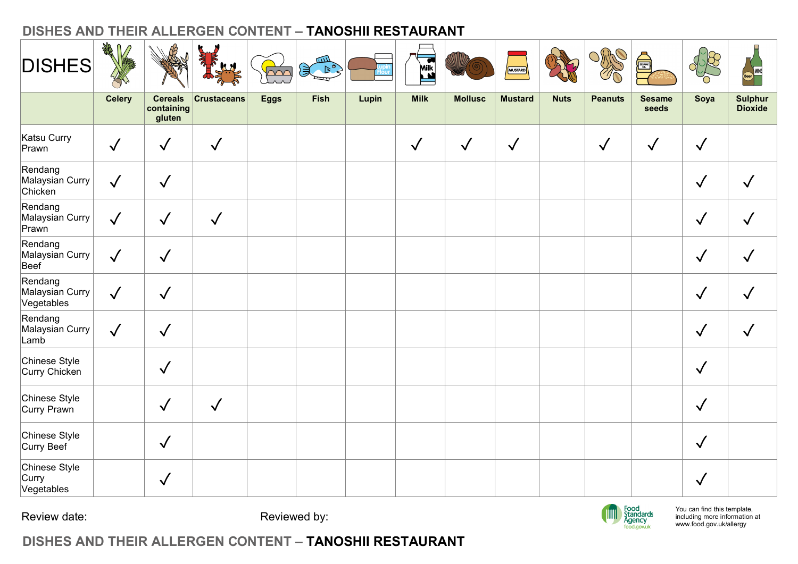| <b>DISHES</b>                            | 1 绿           |                                        |                    | $\overline{\triangle\curvearrowright}$ | سه<br>$\mathcal{F}^{\circ}$<br>ष्प |       | Milk         |                | MUSTARD        |             | S              | <b>THE REAL</b>                                       | p<br>'n                                                                                 | Beer WNE                  |
|------------------------------------------|---------------|----------------------------------------|--------------------|----------------------------------------|------------------------------------|-------|--------------|----------------|----------------|-------------|----------------|-------------------------------------------------------|-----------------------------------------------------------------------------------------|---------------------------|
|                                          | <b>Celery</b> | <b>Cereals</b><br>containing<br>gluten | <b>Crustaceans</b> | <b>Eggs</b>                            | <b>Fish</b>                        | Lupin | <b>Milk</b>  | <b>Mollusc</b> | <b>Mustard</b> | <b>Nuts</b> | <b>Peanuts</b> | <b>Sesame</b><br>seeds                                | Soya                                                                                    | Sulphur<br><b>Dioxide</b> |
| Katsu Curry<br>Prawn                     | $\checkmark$  | $\checkmark$                           | $\checkmark$       |                                        |                                    |       | $\checkmark$ | $\checkmark$   | $\checkmark$   |             | $\sqrt{ }$     | $\checkmark$                                          | $\sqrt{}$                                                                               |                           |
| Rendang<br>Malaysian Curry<br>Chicken    | $\sqrt{}$     | $\checkmark$                           |                    |                                        |                                    |       |              |                |                |             |                |                                                       | $\checkmark$                                                                            | $\checkmark$              |
| Rendang<br>Malaysian Curry<br>Prawn      | $\checkmark$  | $\checkmark$                           | $\checkmark$       |                                        |                                    |       |              |                |                |             |                |                                                       | $\checkmark$                                                                            | $\checkmark$              |
| Rendang<br>Malaysian Curry<br>Beef       | $\sqrt{ }$    | $\checkmark$                           |                    |                                        |                                    |       |              |                |                |             |                |                                                       | $\checkmark$                                                                            | $\checkmark$              |
| Rendang<br>Malaysian Curry<br>Vegetables | $\sqrt{}$     | $\checkmark$                           |                    |                                        |                                    |       |              |                |                |             |                |                                                       | $\checkmark$                                                                            | $\checkmark$              |
| Rendang<br>Malaysian Curry<br>Lamb       | $\checkmark$  | $\checkmark$                           |                    |                                        |                                    |       |              |                |                |             |                |                                                       | $\checkmark$                                                                            | $\checkmark$              |
| Chinese Style<br>Curry Chicken           |               | $\sqrt{ }$                             |                    |                                        |                                    |       |              |                |                |             |                |                                                       | $\checkmark$                                                                            |                           |
| Chinese Style<br>Curry Prawn             |               | $\checkmark$                           | $\sqrt{ }$         |                                        |                                    |       |              |                |                |             |                |                                                       | $\checkmark$                                                                            |                           |
| Chinese Style<br>Curry Beef              |               | $\checkmark$                           |                    |                                        |                                    |       |              |                |                |             |                |                                                       | $\checkmark$                                                                            |                           |
| Chinese Style<br>Curry<br>Vegetables     |               | $\checkmark$                           |                    |                                        |                                    |       |              |                |                |             |                |                                                       | $\checkmark$                                                                            |                           |
| Review date:                             |               |                                        |                    | Reviewed by:                           |                                    |       |              |                |                |             |                | Food<br>Standards<br>Agency<br><sub>food.gov.uk</sub> | You can find this template,<br>including more information at<br>www.food.gov.uk/allergy |                           |

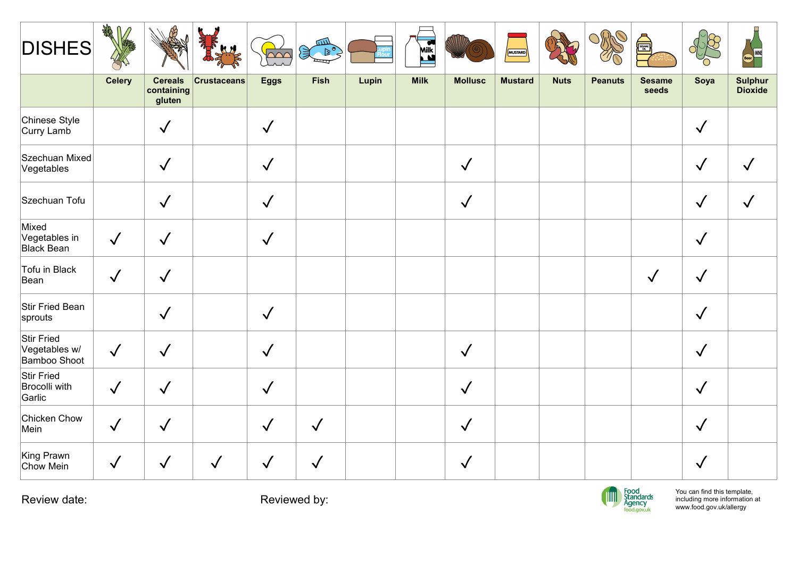| <b>DISHES</b>                                | $\mathbb{R}^{2}$ |                                        |                 | <b>PAC</b>   | للتنكر<br>$\begin{picture}(20,20) \put(0,0){\line(1,0){10}} \put(15,0){\line(1,0){10}} \put(15,0){\line(1,0){10}} \put(15,0){\line(1,0){10}} \put(15,0){\line(1,0){10}} \put(15,0){\line(1,0){10}} \put(15,0){\line(1,0){10}} \put(15,0){\line(1,0){10}} \put(15,0){\line(1,0){10}} \put(15,0){\line(1,0){10}} \put(15,0){\line(1,0){10}} \put(15,0){\line(1$ |       | Mik         |                | MUSTARD        |             | S              | ESSAIRED STATES                            | <b>RE</b><br>$\frac{1}{2}$                                                              | Beer               |
|----------------------------------------------|------------------|----------------------------------------|-----------------|--------------|---------------------------------------------------------------------------------------------------------------------------------------------------------------------------------------------------------------------------------------------------------------------------------------------------------------------------------------------------------------|-------|-------------|----------------|----------------|-------------|----------------|--------------------------------------------|-----------------------------------------------------------------------------------------|--------------------|
|                                              | <b>Celery</b>    | <b>Cereals</b><br>containing<br>gluten | $ $ Crustaceans | <b>Eggs</b>  | Fish                                                                                                                                                                                                                                                                                                                                                          | Lupin | <b>Milk</b> | <b>Mollusc</b> | <b>Mustard</b> | <b>Nuts</b> | <b>Peanuts</b> | <b>Sesame</b><br>seeds                     | Soya                                                                                    | Sulphur<br>Dioxide |
| Chinese Style<br>Curry Lamb                  |                  | $\sqrt{}$                              |                 | $\sqrt{ }$   |                                                                                                                                                                                                                                                                                                                                                               |       |             |                |                |             |                |                                            | $\checkmark$                                                                            |                    |
| Szechuan Mixed<br>Vegetables                 |                  | $\checkmark$                           |                 | $\checkmark$ |                                                                                                                                                                                                                                                                                                                                                               |       |             | $\checkmark$   |                |             |                |                                            | $\checkmark$                                                                            | $\checkmark$       |
| Szechuan Tofu                                |                  | $\checkmark$                           |                 | $\sqrt{}$    |                                                                                                                                                                                                                                                                                                                                                               |       |             | $\checkmark$   |                |             |                |                                            | $\checkmark$                                                                            | $\checkmark$       |
| Mixed<br>Vegetables in<br><b>Black Bean</b>  | $\sqrt{}$        | $\checkmark$                           |                 | $\sqrt{}$    |                                                                                                                                                                                                                                                                                                                                                               |       |             |                |                |             |                |                                            | $\checkmark$                                                                            |                    |
| Tofu in Black<br>Bean                        | $\checkmark$     | $\checkmark$                           |                 |              |                                                                                                                                                                                                                                                                                                                                                               |       |             |                |                |             |                | $\checkmark$                               | $\checkmark$                                                                            |                    |
| Stir Fried Bean<br>sprouts                   |                  | $\checkmark$                           |                 | $\checkmark$ |                                                                                                                                                                                                                                                                                                                                                               |       |             |                |                |             |                |                                            | $\checkmark$                                                                            |                    |
| Stir Fried<br>Vegetables w/<br>Bamboo Shoot  | $\sqrt{ }$       | $\checkmark$                           |                 | $\checkmark$ |                                                                                                                                                                                                                                                                                                                                                               |       |             | $\checkmark$   |                |             |                |                                            | $\checkmark$                                                                            |                    |
| Stir Fried<br><b>Brocolli with</b><br>Garlic | $\sqrt{}$        | $\checkmark$                           |                 | $\checkmark$ |                                                                                                                                                                                                                                                                                                                                                               |       |             | $\sqrt{ }$     |                |             |                |                                            | $\checkmark$                                                                            |                    |
| Chicken Chow<br>Mein                         | $\checkmark$     | $\sqrt{}$                              |                 | $\checkmark$ | $\checkmark$                                                                                                                                                                                                                                                                                                                                                  |       |             | $\checkmark$   |                |             |                |                                            | $\checkmark$                                                                            |                    |
| King Prawn<br>Chow Mein                      | $\sqrt{}$        | $\checkmark$                           | $\sqrt{}$       | $\checkmark$ | $\checkmark$                                                                                                                                                                                                                                                                                                                                                  |       |             | $\checkmark$   |                |             |                |                                            | $\checkmark$                                                                            |                    |
| Review date:                                 |                  |                                        |                 |              | Reviewed by:                                                                                                                                                                                                                                                                                                                                                  |       |             |                |                |             | <b>TIM</b>     | Food<br>Standards<br>Agency<br>food.gov.uk | You can find this template,<br>including more information at<br>www.food.gov.uk/allergy |                    |

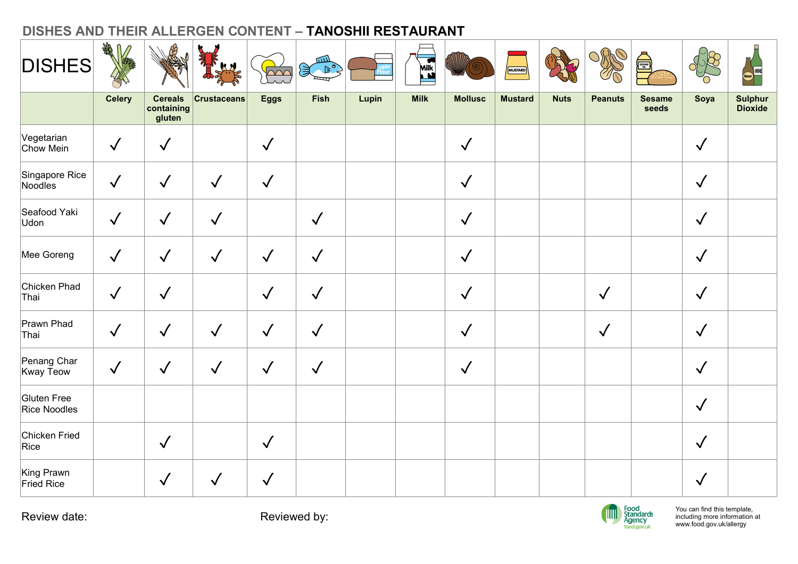| <b>DISHES</b>               | 绿几<br>$\sqrt{2}$ |                      |                    |                                                       | <u>tun</u><br>$\left( \begin{matrix} 1 & 0 \\ 0 & 1 \end{matrix} \right)$ | DISHES AND THEIR ALLERGEN CONTENT - TANOSHII RESTAURANT | Milk        |                | MUSTARD        |             | S              | <b>Alliance</b>                            | 858                                                                                     | Beer           |
|-----------------------------|------------------|----------------------|--------------------|-------------------------------------------------------|---------------------------------------------------------------------------|---------------------------------------------------------|-------------|----------------|----------------|-------------|----------------|--------------------------------------------|-----------------------------------------------------------------------------------------|----------------|
|                             | <b>Celery</b>    | <b>Cereals</b>       | <b>Crustaceans</b> | $\overline{\triangle\curvearrowright}$<br><b>Eggs</b> | $\equiv$<br><b>Fish</b>                                                   | Lupin                                                   | <b>Milk</b> | <b>Mollusc</b> | <b>Mustard</b> | <b>Nuts</b> | <b>Peanuts</b> | <b>Sesame</b>                              | Soya                                                                                    | <b>Sulphur</b> |
|                             |                  | containing<br>gluten |                    |                                                       |                                                                           |                                                         |             |                |                |             |                | seeds                                      |                                                                                         | <b>Dioxide</b> |
| Vegetarian<br>Chow Mein     | $\checkmark$     | $\checkmark$         |                    | $\sqrt{}$                                             |                                                                           |                                                         |             | $\checkmark$   |                |             |                |                                            | $\checkmark$                                                                            |                |
| Singapore Rice<br>Noodles   | $\sqrt{}$        | $\checkmark$         | $\sqrt{2}$         | $\checkmark$                                          |                                                                           |                                                         |             | $\checkmark$   |                |             |                |                                            | $\checkmark$                                                                            |                |
| Seafood Yaki<br>Udon        | $\sqrt{ }$       | $\checkmark$         | $\checkmark$       |                                                       | $\checkmark$                                                              |                                                         |             | $\checkmark$   |                |             |                |                                            | $\checkmark$                                                                            |                |
| Mee Goreng                  | $\sqrt{}$        | $\checkmark$         | $\checkmark$       | $\checkmark$                                          | $\checkmark$                                                              |                                                         |             | $\checkmark$   |                |             |                |                                            | $\checkmark$                                                                            |                |
| Chicken Phad<br>Thai        | $\sqrt{ }$       | $\sqrt{2}$           |                    | $\checkmark$                                          | $\checkmark$                                                              |                                                         |             | $\checkmark$   |                |             | $\checkmark$   |                                            | $\checkmark$                                                                            |                |
| Prawn Phad<br>Thai          | $\sqrt{ }$       | $\checkmark$         | $\sqrt{}$          | $\checkmark$                                          | $\checkmark$                                                              |                                                         |             | $\checkmark$   |                |             | $\checkmark$   |                                            | $\checkmark$                                                                            |                |
| Penang Char<br>Kway Teow    | $\sqrt{ }$       | $\checkmark$         | $\checkmark$       | $\checkmark$                                          | $\checkmark$                                                              |                                                         |             | $\sqrt{}$      |                |             |                |                                            | $\checkmark$                                                                            |                |
| Gluten Free<br>Rice Noodles |                  |                      |                    |                                                       |                                                                           |                                                         |             |                |                |             |                |                                            | $\checkmark$                                                                            |                |
| Chicken Fried<br>Rice       |                  | $\sqrt{ }$           |                    | $\checkmark$                                          |                                                                           |                                                         |             |                |                |             |                |                                            | $\sqrt{ }$                                                                              |                |
| King Prawn<br>Fried Rice    |                  | $\sqrt{2}$           | $\checkmark$       | $\checkmark$                                          |                                                                           |                                                         |             |                |                |             |                |                                            | $\checkmark$                                                                            |                |
| Review date:                |                  |                      |                    |                                                       | Reviewed by:                                                              |                                                         |             |                |                |             | IIII           | Food<br>Standards<br>Agency<br>food.gov.uk | You can find this template,<br>including more information at<br>www.food.gov.uk/allergy |                |

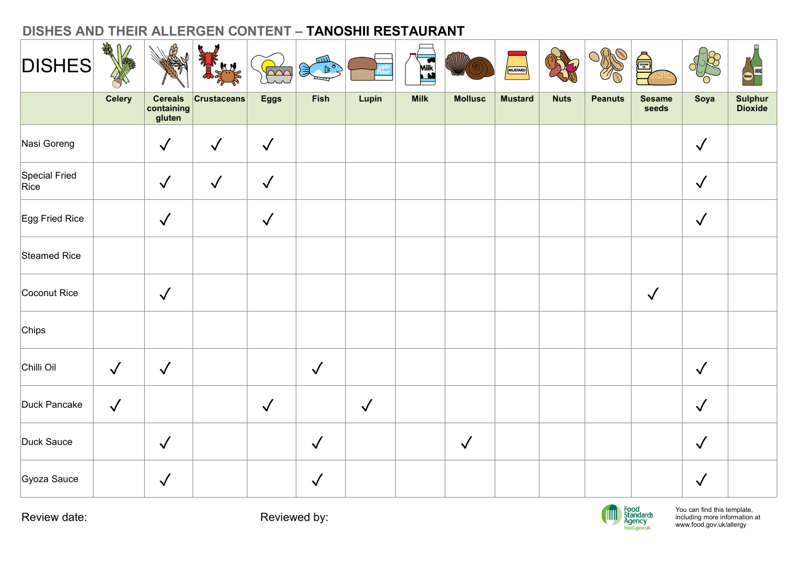| <b>DISHES</b>         | A<br>$\sqrt{2}$ |                                                |                 | $\sim$       | للللآ<br>$\mathbb{R}^{\circ}$<br>$=$ |            | <b>Milk</b> |                | MUSTARD        |             | S              | SESAME                 | $\frac{1}{\sqrt{\alpha}}$<br>'n | Reer<br>Reer<br>Secrets          |
|-----------------------|-----------------|------------------------------------------------|-----------------|--------------|--------------------------------------|------------|-------------|----------------|----------------|-------------|----------------|------------------------|---------------------------------|----------------------------------|
|                       | <b>Celery</b>   | <b>Cereals</b><br>$ $ containing $ $<br>gluten | $ $ Crustaceans | <b>Eggs</b>  | Fish                                 | Lupin      | <b>Milk</b> | <b>Mollusc</b> | <b>Mustard</b> | <b>Nuts</b> | <b>Peanuts</b> | <b>Sesame</b><br>seeds | Soya                            | <b>Sulphur</b><br><b>Dioxide</b> |
| Nasi Goreng           |                 | $\checkmark$                                   | $\sqrt{2}$      | $\checkmark$ |                                      |            |             |                |                |             |                |                        | $\checkmark$                    |                                  |
| Special Fried<br>Rice |                 | $\checkmark$                                   | $\sqrt{2}$      | $\sqrt{}$    |                                      |            |             |                |                |             |                |                        | $\checkmark$                    |                                  |
| Egg Fried Rice        |                 | $\checkmark$                                   |                 | $\checkmark$ |                                      |            |             |                |                |             |                |                        | $\checkmark$                    |                                  |
| Steamed Rice          |                 |                                                |                 |              |                                      |            |             |                |                |             |                |                        |                                 |                                  |
| Coconut Rice          |                 | $\checkmark$                                   |                 |              |                                      |            |             |                |                |             |                | $\sqrt{2}$             |                                 |                                  |
| Chips                 |                 |                                                |                 |              |                                      |            |             |                |                |             |                |                        |                                 |                                  |
| Chilli Oil            | $\checkmark$    | $\checkmark$                                   |                 |              | $\sqrt{2}$                           |            |             |                |                |             |                |                        | $\checkmark$                    |                                  |
| Duck Pancake          | $\sqrt{ }$      |                                                |                 | $\checkmark$ |                                      | $\sqrt{ }$ |             |                |                |             |                |                        | $\checkmark$                    |                                  |
| Duck Sauce            |                 | $\checkmark$                                   |                 |              | $\checkmark$                         |            |             | $\checkmark$   |                |             |                |                        | $\checkmark$                    |                                  |
| Gyoza Sauce           |                 | $\checkmark$                                   |                 |              | $\checkmark$                         |            |             |                |                |             |                |                        | $\checkmark$                    |                                  |